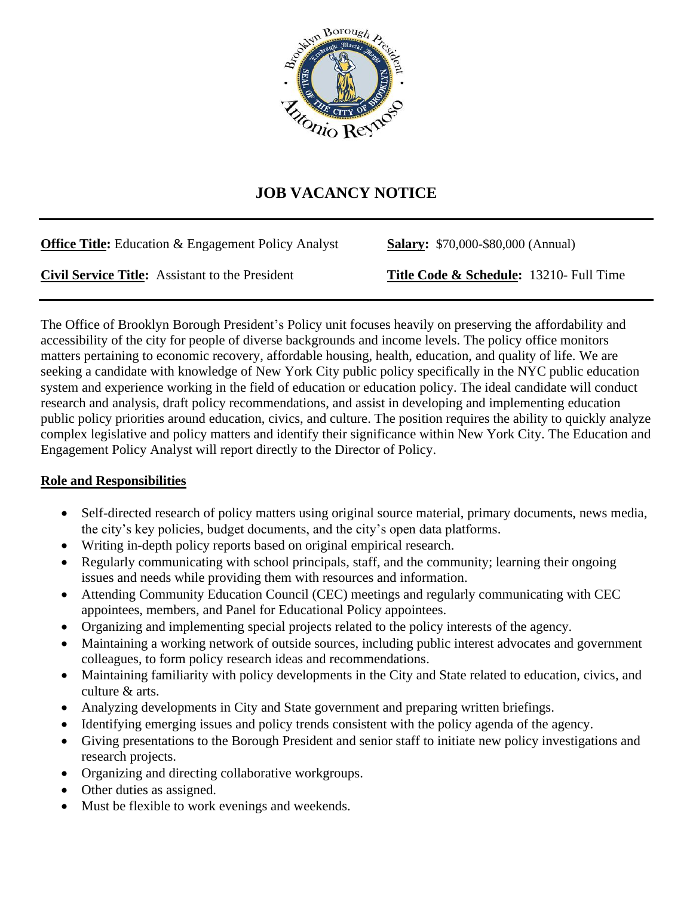

## **JOB VACANCY NOTICE**

| <b>Office Title:</b> Education & Engagement Policy Analyst | <b>Salary:</b> \$70,000-\$80,000 (Annual) |
|------------------------------------------------------------|-------------------------------------------|
| <b>Civil Service Title:</b> Assistant to the President     | Title Code & Schedule: 13210- Full Time   |

The Office of Brooklyn Borough President's Policy unit focuses heavily on preserving the affordability and accessibility of the city for people of diverse backgrounds and income levels. The policy office monitors matters pertaining to economic recovery, affordable housing, health, education, and quality of life. We are seeking a candidate with knowledge of New York City public policy specifically in the NYC public education system and experience working in the field of education or education policy. The ideal candidate will conduct research and analysis, draft policy recommendations, and assist in developing and implementing education public policy priorities around education, civics, and culture. The position requires the ability to quickly analyze complex legislative and policy matters and identify their significance within New York City. The Education and Engagement Policy Analyst will report directly to the Director of Policy.

## **Role and Responsibilities**

- Self-directed research of policy matters using original source material, primary documents, news media, the city's key policies, budget documents, and the city's open data platforms.
- Writing in-depth policy reports based on original empirical research.
- Regularly communicating with school principals, staff, and the community; learning their ongoing issues and needs while providing them with resources and information.
- Attending Community Education Council (CEC) meetings and regularly communicating with CEC appointees, members, and Panel for Educational Policy appointees.
- Organizing and implementing special projects related to the policy interests of the agency.
- Maintaining a working network of outside sources, including public interest advocates and government colleagues, to form policy research ideas and recommendations.
- Maintaining familiarity with policy developments in the City and State related to education, civics, and culture & arts.
- Analyzing developments in City and State government and preparing written briefings.
- Identifying emerging issues and policy trends consistent with the policy agenda of the agency.
- Giving presentations to the Borough President and senior staff to initiate new policy investigations and research projects.
- Organizing and directing collaborative workgroups.
- Other duties as assigned.
- Must be flexible to work evenings and weekends.